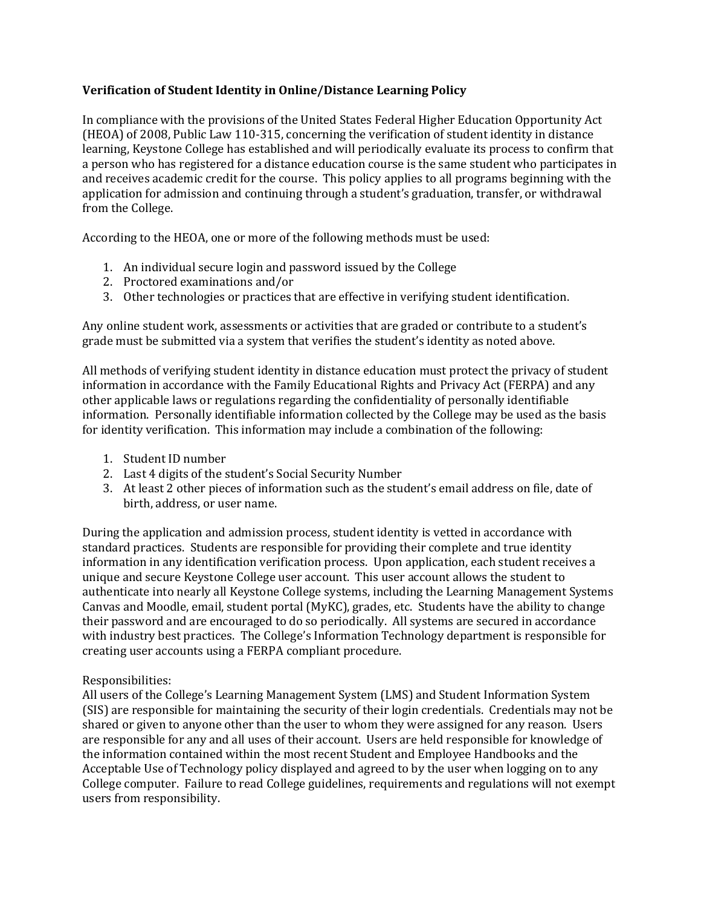## **Verification of Student Identity in Online/Distance Learning Policy**

In compliance with the provisions of the United States Federal Higher Education Opportunity Act (HEOA) of 2008, Public Law 110-315, concerning the verification of student identity in distance learning, Keystone College has established and will periodically evaluate its process to confirm that a person who has registered for a distance education course is the same student who participates in and receives academic credit for the course. This policy applies to all programs beginning with the application for admission and continuing through a student's graduation, transfer, or withdrawal from the College.

According to the HEOA, one or more of the following methods must be used:

- 1. An individual secure login and password issued by the College
- 2. Proctored examinations and/or
- 3. Other technologies or practices that are effective in verifying student identification.

Any online student work, assessments or activities that are graded or contribute to a student's grade must be submitted via a system that verifies the student's identity as noted above.

All methods of verifying student identity in distance education must protect the privacy of student information in accordance with the Family Educational Rights and Privacy Act (FERPA) and any other applicable laws or regulations regarding the confidentiality of personally identifiable information. Personally identifiable information collected by the College may be used as the basis for identity verification. This information may include a combination of the following:

- 1. Student ID number
- 2. Last 4 digits of the student's Social Security Number
- 3. At least 2 other pieces of information such as the student's email address on file, date of birth, address, or user name.

During the application and admission process, student identity is vetted in accordance with standard practices. Students are responsible for providing their complete and true identity information in any identification verification process. Upon application, each student receives a unique and secure Keystone College user account. This user account allows the student to authenticate into nearly all Keystone College systems, including the Learning Management Systems Canvas and Moodle, email, student portal (MyKC), grades, etc. Students have the ability to change their password and are encouraged to do so periodically. All systems are secured in accordance with industry best practices. The College's Information Technology department is responsible for creating user accounts using a FERPA compliant procedure.

## Responsibilities:

All users of the College's Learning Management System (LMS) and Student Information System (SIS) are responsible for maintaining the security of their login credentials. Credentials may not be shared or given to anyone other than the user to whom they were assigned for any reason. Users are responsible for any and all uses of their account. Users are held responsible for knowledge of the information contained within the most recent Student and Employee Handbooks and the Acceptable Use of Technology policy displayed and agreed to by the user when logging on to any College computer. Failure to read College guidelines, requirements and regulations will not exempt users from responsibility.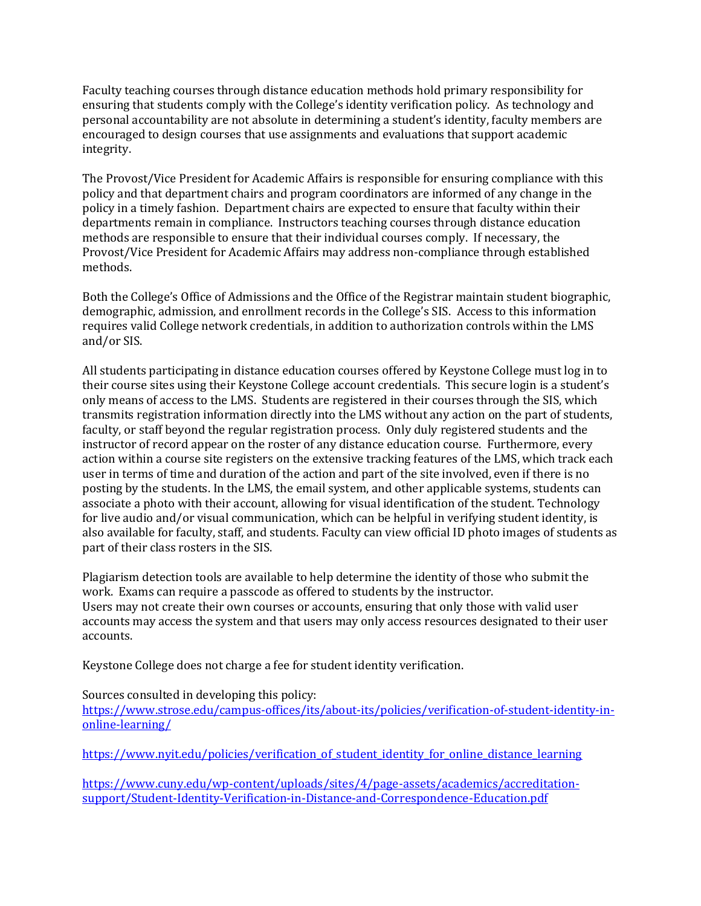Faculty teaching courses through distance education methods hold primary responsibility for ensuring that students comply with the College's identity verification policy. As technology and personal accountability are not absolute in determining a student's identity, faculty members are encouraged to design courses that use assignments and evaluations that support academic integrity.

The Provost/Vice President for Academic Affairs is responsible for ensuring compliance with this policy and that department chairs and program coordinators are informed of any change in the policy in a timely fashion. Department chairs are expected to ensure that faculty within their departments remain in compliance. Instructors teaching courses through distance education methods are responsible to ensure that their individual courses comply. If necessary, the Provost/Vice President for Academic Affairs may address non-compliance through established methods.

Both the College's Office of Admissions and the Office of the Registrar maintain student biographic, demographic, admission, and enrollment records in the College's SIS. Access to this information requires valid College network credentials, in addition to authorization controls within the LMS and/or SIS.

All students participating in distance education courses offered by Keystone College must log in to their course sites using their Keystone College account credentials. This secure login is a student's only means of access to the LMS. Students are registered in their courses through the SIS, which transmits registration information directly into the LMS without any action on the part of students, faculty, or staff beyond the regular registration process. Only duly registered students and the instructor of record appear on the roster of any distance education course. Furthermore, every action within a course site registers on the extensive tracking features of the LMS, which track each user in terms of time and duration of the action and part of the site involved, even if there is no posting by the students. In the LMS, the email system, and other applicable systems, students can associate a photo with their account, allowing for visual identification of the student. Technology for live audio and/or visual communication, which can be helpful in verifying student identity, is also available for faculty, staff, and students. Faculty can view official ID photo images of students as part of their class rosters in the SIS.

Plagiarism detection tools are available to help determine the identity of those who submit the work. Exams can require a passcode as offered to students by the instructor. Users may not create their own courses or accounts, ensuring that only those with valid user accounts may access the system and that users may only access resources designated to their user accounts.

Keystone College does not charge a fee for student identity verification.

Sources consulted in developing this policy:

[https://www.strose.edu/campus-offices/its/about-its/policies/verification-of-student-identity-in](https://www.strose.edu/campus-offices/its/about-its/policies/verification-of-student-identity-in-online-learning/)[online-learning/](https://www.strose.edu/campus-offices/its/about-its/policies/verification-of-student-identity-in-online-learning/)

[https://www.nyit.edu/policies/verification\\_of\\_student\\_identity\\_for\\_online\\_distance\\_learning](https://www.nyit.edu/policies/verification_of_student_identity_for_online_distance_learning)

[https://www.cuny.edu/wp-content/uploads/sites/4/page-assets/academics/accreditation](https://www.cuny.edu/wp-content/uploads/sites/4/page-assets/academics/accreditation-support/Student-Identity-Verification-in-Distance-and-Correspondence-Education.pdf)[support/Student-Identity-Verification-in-Distance-and-Correspondence-Education.pdf](https://www.cuny.edu/wp-content/uploads/sites/4/page-assets/academics/accreditation-support/Student-Identity-Verification-in-Distance-and-Correspondence-Education.pdf)